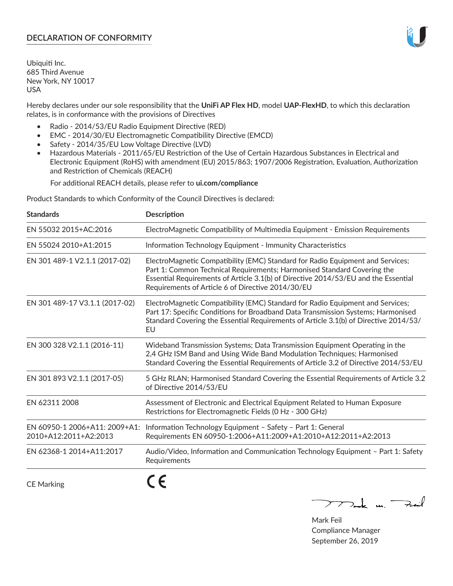# **DECLARATION OF CONFORMITY**

Ubiquiti Inc. 685 Third Avenue New York, NY 10017 USA

Hereby declares under our sole responsibility that the **UniFi AP Flex HD**, model **UAP-FlexHD**, to which this declaration relates, is in conformance with the provisions of Directives

- Radio 2014/53/EU Radio Equipment Directive (RED)
- EMC 2014/30/EU Electromagnetic Compatibility Directive (EMCD)
- Safety 2014/35/EU Low Voltage Directive (LVD)
- Hazardous Materials 2011/65/EU Restriction of the Use of Certain Hazardous Substances in Electrical and Electronic Equipment (RoHS) with amendment (EU) 2015/863; 1907/2006 Registration, Evaluation, Authorization and Restriction of Chemicals (REACH)

For additional REACH details, please refer to **ui.com/compliance**

Product Standards to which Conformity of the Council Directives is declared:

| <b>Standards</b>                                       | <b>Description</b>                                                                                                                                                                                                                                                                                   |
|--------------------------------------------------------|------------------------------------------------------------------------------------------------------------------------------------------------------------------------------------------------------------------------------------------------------------------------------------------------------|
| EN 55032 2015+AC:2016                                  | ElectroMagnetic Compatibility of Multimedia Equipment - Emission Requirements                                                                                                                                                                                                                        |
| EN 55024 2010+A1:2015                                  | Information Technology Equipment - Immunity Characteristics                                                                                                                                                                                                                                          |
| EN 301 489-1 V2.1.1 (2017-02)                          | ElectroMagnetic Compatibility (EMC) Standard for Radio Equipment and Services;<br>Part 1: Common Technical Requirements; Harmonised Standard Covering the<br>Essential Requirements of Article 3.1(b) of Directive 2014/53/EU and the Essential<br>Requirements of Article 6 of Directive 2014/30/EU |
| EN 301 489-17 V3.1.1 (2017-02)                         | ElectroMagnetic Compatibility (EMC) Standard for Radio Equipment and Services;<br>Part 17: Specific Conditions for Broadband Data Transmission Systems; Harmonised<br>Standard Covering the Essential Requirements of Article 3.1(b) of Directive 2014/53/<br>EU                                     |
| EN 300 328 V2.1.1 (2016-11)                            | Wideband Transmission Systems; Data Transmission Equipment Operating in the<br>2,4 GHz ISM Band and Using Wide Band Modulation Techniques; Harmonised<br>Standard Covering the Essential Requirements of Article 3.2 of Directive 2014/53/EU                                                         |
| EN 301 893 V2.1.1 (2017-05)                            | 5 GHz RLAN; Harmonised Standard Covering the Essential Requirements of Article 3.2<br>of Directive 2014/53/EU                                                                                                                                                                                        |
| EN 62311 2008                                          | Assessment of Electronic and Electrical Equipment Related to Human Exposure<br>Restrictions for Electromagnetic Fields (0 Hz - 300 GHz)                                                                                                                                                              |
| EN 60950-1 2006+A11: 2009+A1:<br>2010+A12:2011+A2:2013 | Information Technology Equipment - Safety - Part 1: General<br>Requirements EN 60950-1:2006+A11:2009+A1:2010+A12:2011+A2:2013                                                                                                                                                                        |
| EN 62368-1 2014+A11:2017                               | Audio/Video, Information and Communication Technology Equipment - Part 1: Safety<br>Requirements                                                                                                                                                                                                     |
| <b>CE Marking</b>                                      |                                                                                                                                                                                                                                                                                                      |

 $772$ ak m. Fail

Mark Feil Compliance Manager September 26, 2019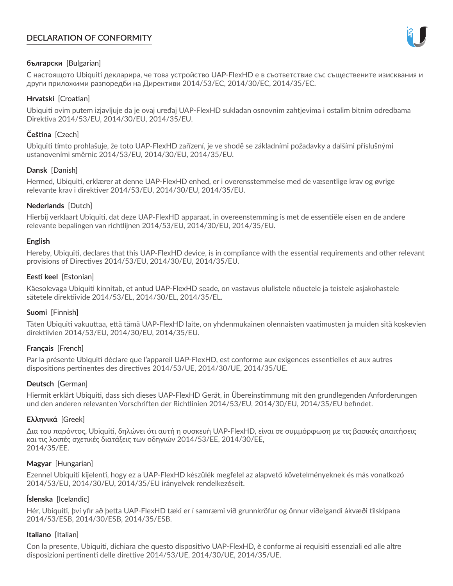# **DECLARATION OF CONFORMITY**



## **български** [Bulgarian]

С настоящото Ubiquiti декларира, че това устройство UAP-FlexHD е в съответствие със съществените изисквания и други приложими разпоредби на Директиви 2014/53/EC, 2014/30/ЕС, 2014/35/ЕС.

## **Hrvatski** [Croatian]

Ubiquiti ovim putem izjavljuje da je ovaj uređaj UAP-FlexHD sukladan osnovnim zahtjevima i ostalim bitnim odredbama Direktiva 2014/53/EU, 2014/30/EU, 2014/35/EU.

# **Čeština** [Czech]

Ubiquiti tímto prohlašuje, že toto UAP-FlexHD zařízení, je ve shodě se základními požadavky a dalšími příslušnými ustanoveními směrnic 2014/53/EU, 2014/30/EU, 2014/35/EU.

# **Dansk** [Danish]

Hermed, Ubiquiti, erklærer at denne UAP-FlexHD enhed, er i overensstemmelse med de væsentlige krav og øvrige relevante krav i direktiver 2014/53/EU, 2014/30/EU, 2014/35/EU.

# **Nederlands** [Dutch]

Hierbij verklaart Ubiquiti, dat deze UAP-FlexHD apparaat, in overeenstemming is met de essentiële eisen en de andere relevante bepalingen van richtlijnen 2014/53/EU, 2014/30/EU, 2014/35/EU.

## **English**

Hereby, Ubiquiti, declares that this UAP-FlexHD device, is in compliance with the essential requirements and other relevant provisions of Directives 2014/53/EU, 2014/30/EU, 2014/35/EU.

# **Eesti keel** [Estonian]

Käesolevaga Ubiquiti kinnitab, et antud UAP-FlexHD seade, on vastavus olulistele nõuetele ja teistele asjakohastele sätetele direktiivide 2014/53/EL, 2014/30/EL, 2014/35/EL.

## **Suomi** [Finnish]

Täten Ubiquiti vakuuttaa, että tämä UAP-FlexHD laite, on yhdenmukainen olennaisten vaatimusten ja muiden sitä koskevien direktiivien 2014/53/EU, 2014/30/EU, 2014/35/EU.

## **Français** [French]

Par la présente Ubiquiti déclare que l'appareil UAP-FlexHD, est conforme aux exigences essentielles et aux autres dispositions pertinentes des directives 2014/53/UE, 2014/30/UE, 2014/35/UE.

## **Deutsch** [German]

Hiermit erklärt Ubiquiti, dass sich dieses UAP-FlexHD Gerät, in Übereinstimmung mit den grundlegenden Anforderungen und den anderen relevanten Vorschriften der Richtlinien 2014/53/EU, 2014/30/EU, 2014/35/EU befindet.

## **Ελληνικά** [Greek]

Δια του παρόντος, Ubiquiti, δηλώνει ότι αυτή η συσκευή UAP-FlexHD, είναι σε συμμόρφωση με τις βασικές απαιτήσεις και τις λοιπές σχετικές διατάξεις των οδηγιών 2014/53/EE, 2014/30/EE, 2014/35/EE.

## **Magyar** [Hungarian]

Ezennel Ubiquiti kijelenti, hogy ez a UAP-FlexHD készülék megfelel az alapvető követelményeknek és más vonatkozó 2014/53/EU, 2014/30/EU, 2014/35/EU irányelvek rendelkezéseit.

# **Íslenska** [Icelandic]

Hér, Ubiquiti, því yfir að þetta UAP-FlexHD tæki er í samræmi við grunnkröfur og önnur viðeigandi ákvæði tilskipana 2014/53/ESB, 2014/30/ESB, 2014/35/ESB.

## **Italiano** [Italian]

Con la presente, Ubiquiti, dichiara che questo dispositivo UAP-FlexHD, è conforme ai requisiti essenziali ed alle altre disposizioni pertinenti delle direttive 2014/53/UE, 2014/30/UE, 2014/35/UE.